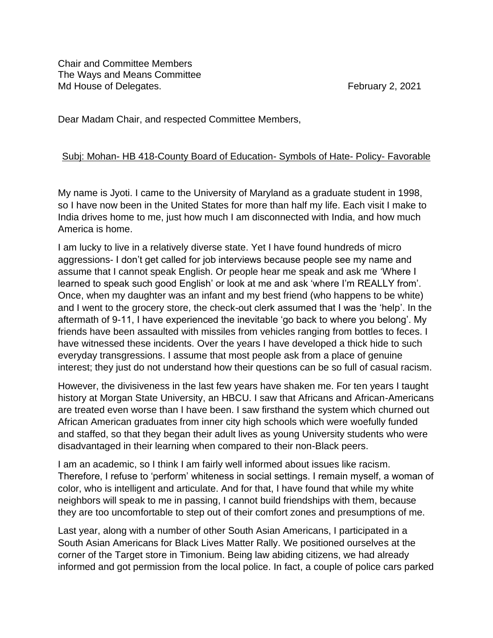Chair and Committee Members The Ways and Means Committee Md House of Delegates. The same of the set of the set of the set of the set of the set of the set of the set of the set of the set of the set of the set of the set of the set of the set of the set of the set of the set of

Dear Madam Chair, and respected Committee Members,

## Subj: Mohan- HB 418-County Board of Education- Symbols of Hate- Policy- Favorable

My name is Jyoti. I came to the University of Maryland as a graduate student in 1998, so I have now been in the United States for more than half my life. Each visit I make to India drives home to me, just how much I am disconnected with India, and how much America is home.

I am lucky to live in a relatively diverse state. Yet I have found hundreds of micro aggressions- I don't get called for job interviews because people see my name and assume that I cannot speak English. Or people hear me speak and ask me 'Where I learned to speak such good English' or look at me and ask 'where I'm REALLY from'. Once, when my daughter was an infant and my best friend (who happens to be white) and I went to the grocery store, the check-out clerk assumed that I was the 'help'. In the aftermath of 9-11, I have experienced the inevitable 'go back to where you belong'. My friends have been assaulted with missiles from vehicles ranging from bottles to feces. I have witnessed these incidents. Over the years I have developed a thick hide to such everyday transgressions. I assume that most people ask from a place of genuine interest; they just do not understand how their questions can be so full of casual racism.

However, the divisiveness in the last few years have shaken me. For ten years I taught history at Morgan State University, an HBCU. I saw that Africans and African-Americans are treated even worse than I have been. I saw firsthand the system which churned out African American graduates from inner city high schools which were woefully funded and staffed, so that they began their adult lives as young University students who were disadvantaged in their learning when compared to their non-Black peers.

I am an academic, so I think I am fairly well informed about issues like racism. Therefore, I refuse to 'perform' whiteness in social settings. I remain myself, a woman of color, who is intelligent and articulate. And for that, I have found that while my white neighbors will speak to me in passing, I cannot build friendships with them, because they are too uncomfortable to step out of their comfort zones and presumptions of me.

Last year, along with a number of other South Asian Americans, I participated in a South Asian Americans for Black Lives Matter Rally. We positioned ourselves at the corner of the Target store in Timonium. Being law abiding citizens, we had already informed and got permission from the local police. In fact, a couple of police cars parked